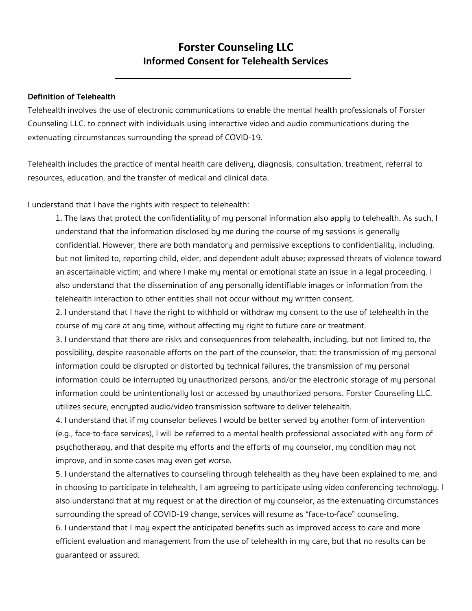## **Forster Counseling LLC Informed Consent for Telehealth Services**

## **Definition of Telehealth**

Telehealth involves the use of electronic communications to enable the mental health professionals of Forster Counseling LLC. to connect with individuals using interactive video and audio communications during the extenuating circumstances surrounding the spread of COVID-19.

Telehealth includes the practice of mental health care delivery, diagnosis, consultation, treatment, referral to resources, education, and the transfer of medical and clinical data.

I understand that I have the rights with respect to telehealth:

1. The laws that protect the confidentiality of my personal information also apply to telehealth. As such, I understand that the information disclosed by me during the course of my sessions is generally confidential. However, there are both mandatory and permissive exceptions to confidentiality, including, but not limited to, reporting child, elder, and dependent adult abuse; expressed threats of violence toward an ascertainable victim; and where I make my mental or emotional state an issue in a legal proceeding. I also understand that the dissemination of any personally identifiable images or information from the telehealth interaction to other entities shall not occur without my written consent.

2. I understand that I have the right to withhold or withdraw my consent to the use of telehealth in the course of my care at any time, without affecting my right to future care or treatment.

3. I understand that there are risks and consequences from telehealth, including, but not limited to, the possibility, despite reasonable efforts on the part of the counselor, that: the transmission of my personal information could be disrupted or distorted by technical failures, the transmission of my personal information could be interrupted by unauthorized persons, and/or the electronic storage of my personal information could be unintentionally lost or accessed by unauthorized persons. Forster Counseling LLC. utilizes secure, encrypted audio/video transmission software to deliver telehealth.

4. I understand that if my counselor believes I would be better served by another form of intervention (e.g., face-to-face services), I will be referred to a mental health professional associated with any form of psychotherapy, and that despite my efforts and the efforts of my counselor, my condition may not improve, and in some cases may even get worse.

5. I understand the alternatives to counseling through telehealth as they have been explained to me, and in choosing to participate in telehealth, I am agreeing to participate using video conferencing technology. I also understand that at my request or at the direction of my counselor, as the extenuating circumstances surrounding the spread of COVID-19 change, services will resume as "face-to-face" counseling. 6. I understand that I may expect the anticipated benefits such as improved access to care and more efficient evaluation and management from the use of telehealth in my care, but that no results can be guaranteed or assured.